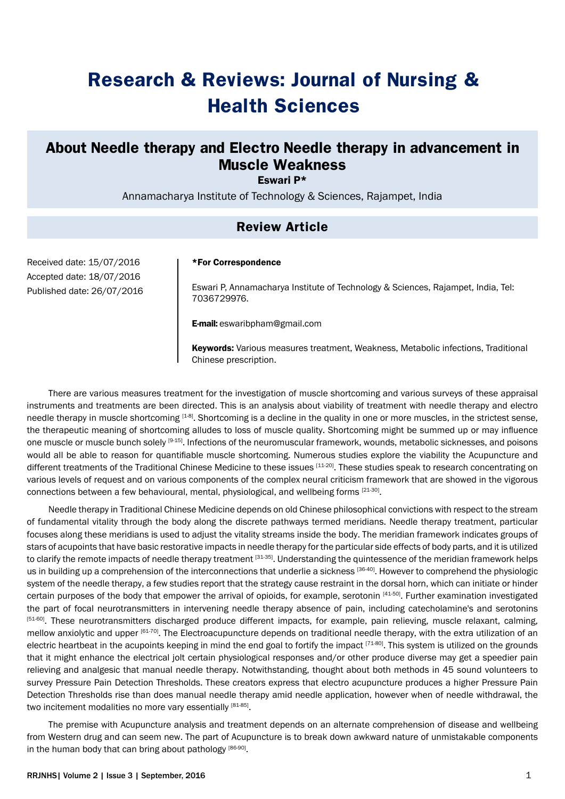# **Research & Reviews: Journal of Nursing & Health Sciences**

## **About Needle therapy and Electro Needle therapy in advancement in Muscle Weakness**

Eswari P\*

Annamacharya Institute of Technology & Sciences, Rajampet, India

## **Review Article**

Received date: 15/07/2016 Accepted date: 18/07/2016 Published date: 26/07/2016

#### \*For Correspondence

Eswari P, Annamacharya Institute of Technology & Sciences, Rajampet, India, Tel: 7036729976.

E-mail: eswaribpham@gmail.com

Keywords: Various measures treatment, Weakness, Metabolic infections, Traditional Chinese prescription.

There are various measures treatment for the investigation of muscle shortcoming and various surveys of these appraisal instruments and treatments are been directed. This is an analysis about viability of treatment with needle therapy and electro needle therapy in muscle shortcoming  $[1-8]$ . Shortcoming is a decline in the quality in one or more muscles, in the strictest sense, the therapeutic meaning of shortcoming alludes to loss of muscle quality. Shortcoming might be summed up or may influence one muscle or muscle bunch solely [9-15]. Infections of the neuromuscular framework, wounds, metabolic sicknesses, and poisons would all be able to reason for quantifiable muscle shortcoming. Numerous studies explore the viability the Acupuncture and different treatments of the Traditional Chinese Medicine to these issues [11-20]. These studies speak to research concentrating on various levels of request and on various components of the complex neural criticism framework that are showed in the vigorous connections between a few behavioural, mental, physiological, and wellbeing forms [21-30].

Needle therapy in Traditional Chinese Medicine depends on old Chinese philosophical convictions with respect to the stream of fundamental vitality through the body along the discrete pathways termed meridians. Needle therapy treatment, particular focuses along these meridians is used to adjust the vitality streams inside the body. The meridian framework indicates groups of stars of acupoints that have basic restorative impacts in needle therapy for the particular side effects of body parts, and it is utilized to clarify the remote impacts of needle therapy treatment [31-35]. Understanding the quintessence of the meridian framework helps us in building up a comprehension of the interconnections that underlie a sickness [36-40]. However to comprehend the physiologic system of the needle therapy, a few studies report that the strategy cause restraint in the dorsal horn, which can initiate or hinder certain purposes of the body that empower the arrival of opioids, for example, serotonin [41-50]. Further examination investigated the part of focal neurotransmitters in intervening needle therapy absence of pain, including catecholamine's and serotonins <sup>[51-60]</sup>. These neurotransmitters discharged produce different impacts, for example, pain relieving, muscle relaxant, calming, mellow anxiolytic and upper [61-70]. The Electroacupuncture depends on traditional needle therapy, with the extra utilization of an electric heartbeat in the acupoints keeping in mind the end goal to fortify the impact [71-80]. This system is utilized on the grounds that it might enhance the electrical jolt certain physiological responses and/or other produce diverse may get a speedier pain relieving and analgesic that manual needle therapy. Notwithstanding, thought about both methods in 45 sound volunteers to survey Pressure Pain Detection Thresholds. These creators express that electro acupuncture produces a higher Pressure Pain Detection Thresholds rise than does manual needle therapy amid needle application, however when of needle withdrawal, the two incitement modalities no more vary essentially [81-85].

The premise with Acupuncture analysis and treatment depends on an alternate comprehension of disease and wellbeing from Western drug and can seem new. The part of Acupuncture is to break down awkward nature of unmistakable components in the human body that can bring about pathology [86-90].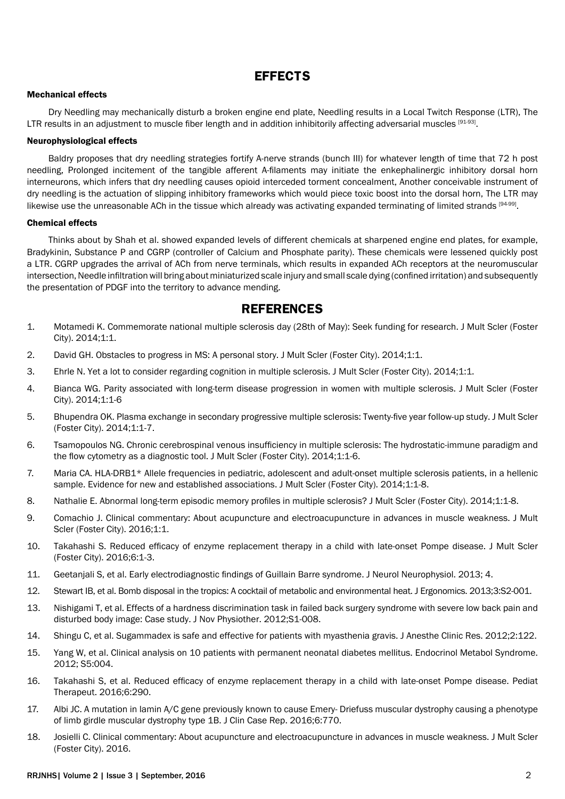## **EFFECTS**

#### Mechanical effects

Dry Needling may mechanically disturb a broken engine end plate, Needling results in a Local Twitch Response (LTR), The LTR results in an adjustment to muscle fiber length and in addition inhibitorily affecting adversarial muscles [91-93].

#### Neurophysiological effects

Baldry proposes that dry needling strategies fortify A-nerve strands (bunch III) for whatever length of time that 72 h post needling, Prolonged incitement of the tangible afferent A-filaments may initiate the enkephalinergic inhibitory dorsal horn interneurons, which infers that dry needling causes opioid interceded torment concealment, Another conceivable instrument of dry needling is the actuation of slipping inhibitory frameworks which would piece toxic boost into the dorsal horn, The LTR may likewise use the unreasonable ACh in the tissue which already was activating expanded terminating of limited strands [94-99].

#### Chemical effects

Thinks about by Shah et al. showed expanded levels of different chemicals at sharpened engine end plates, for example, Bradykinin, Substance P and CGRP (controller of Calcium and Phosphate parity). These chemicals were lessened quickly post a LTR. CGRP upgrades the arrival of ACh from nerve terminals, which results in expanded ACh receptors at the neuromuscular intersection, Needle infiltration will bring about miniaturized scale injury and small scale dying (confined irritation) and subsequently the presentation of PDGF into the territory to advance mending.

### **REFERENCES**

- 1. [Motamedi K. Commemorate national multiple sclerosis day \(28th of May\): Seek funding for research. J Mult Scler \(Foster](http://www.omicsgroup.org/journals/commemorate-national-multiple-sclerosis-day-th-of-may-seek-funding-for-research-jmso-e001.pdf)  [City\). 2014;1:1](http://www.omicsgroup.org/journals/commemorate-national-multiple-sclerosis-day-th-of-may-seek-funding-for-research-jmso-e001.pdf).
- 2. [David GH. Obstacles to progress in MS: A personal story. J](http://www.omicsgroup.org/journals/obstacles-to-progress-in-ms-a-personal-story-jmso-e102.php?aid=27149) Mult Scler (Foster City). 2014;1:1.
- 3. [Ehrle N. Yet a lot to consider regarding cognition in multiple sclerosis. J Mult Scler \(Foster City\). 2014;1:1.](http://www.omicsgroup.org/journals/yet-a-lot-to-consider-regarding-cognition-in-multiple-sclerosis-jmso-e-103.php?aid=27150)
- 4. [Bianca WG. Parity associated with long-term disease progression in women with multiple sclerosis. J Mult Scler \(Foster](http://www.omicsgroup.org/journals/parity-associated-with-longterm-disease-progression-in-women-with-multiple-sclerosis-jmso-101.php?aid=27139)  [City\). 2014;1:1-6](http://www.omicsgroup.org/journals/parity-associated-with-longterm-disease-progression-in-women-with-multiple-sclerosis-jmso-101.php?aid=27139)
- 5. [Bhupendra OK. Plasma exchange in secondary progressive multiple sclerosis: Twenty-five year follow-up study. J Mult Scler](http://www.omicsgroup.org/journals/plasma-exchange-in-secondary-progressive-multiple-sclerosis-twentyfive-year-followup-study-jmso-102.php?aid=27140)  [\(Foster City\). 2014;1:1-7.](http://www.omicsgroup.org/journals/plasma-exchange-in-secondary-progressive-multiple-sclerosis-twentyfive-year-followup-study-jmso-102.php?aid=27140)
- 6. [Tsamopoulos NG. Chronic cerebrospinal venous insufficiency in multiple sclerosis: The hydrostatic-immune paradigm and](http://www.omicsgroup.org/journals/hydrostaticimmune-paradigm-and-the-flow-cytometry-as-a-diagnostic-tool-jmso-103.php?aid=27141)  [the flow cytometry as a diagnostic tool. J Mult Scler \(Foster City\). 2014;1:1-6.](http://www.omicsgroup.org/journals/hydrostaticimmune-paradigm-and-the-flow-cytometry-as-a-diagnostic-tool-jmso-103.php?aid=27141)
- 7. [Maria CA. HLA-DRB1\\* Allele frequencies in pediatric, adolescent and adult-onset multiple sclerosis patients, in a hellenic](http://www.omicsgroup.org/journals/adultonset-multiple-sclerosis-patients-in-a-hellenic-sample-evidence-for-new-and-established-associations-jmso-104.php?aid=27143)  [sample. Evidence for new and established associations. J Mult Scler \(Foster City\). 2014;1:1-8.](http://www.omicsgroup.org/journals/adultonset-multiple-sclerosis-patients-in-a-hellenic-sample-evidence-for-new-and-established-associations-jmso-104.php?aid=27143)
- 8. [Nathalie E. Abnormal long-term episodic memory profiles in multiple sclerosis? J Mult Scler \(Foster City\). 2014;1:1-8.](http://www.omicsgroup.org/journals/abnormal-longterm-episodic-memory-profiles-in-multiple-sclerosis-jmso-105.php?aid=27144)
- 9. [Comachio J. Clinical commentary: About acupuncture and electroacupuncture in advances in muscle weakness. J Mult](http://www.omicsgroup.org/journals/clinical-commentary-about-acupuncture-and-electroacupuncture-inadvances-in-muscle-weakness-2376-0389-1000168.php?aid=70953)  [Scler \(Foster City\). 2016;1:1.](http://www.omicsgroup.org/journals/clinical-commentary-about-acupuncture-and-electroacupuncture-inadvances-in-muscle-weakness-2376-0389-1000168.php?aid=70953)
- 10. [Takahashi S. Reduced efficacy of enzyme replacement therapy in a child with late-onset Pompe disease. J Mult Scler](http://www.omicsonline.org/open-access/reduced-efficacy-of-enzyme-replacement-therapy-in-a-child-with-lateonset-pompe-disease-2161-0665-1000290.php?aid=73657)  [\(Foster City\). 2016;6:1-3.](http://www.omicsonline.org/open-access/reduced-efficacy-of-enzyme-replacement-therapy-in-a-child-with-lateonset-pompe-disease-2161-0665-1000290.php?aid=73657)
- 11. [Geetanjali S, et al. Early electrodiagnostic findings of Guillain Barre syndrome.](http://www.omicsonline.org/early-electrodiagnostic-findings-of-guillain-barre-syndrome-2155-9562.1000142.php?aid=11140) J Neurol Neurophysiol. 2013; 4.
- 12. [Stewart IB, et al. Bomb disposal in the tropics: A cocktail of metabolic and environmental heat.](http://www.omicsgroup.org/journals/bomb-disposal-in-the-tropics-a-cocktail-of-metabolic-and-environmental-heat-2165-7556.S2-001.php?aid=10582) J Ergonomics. 2013;3:S2-001.
- 13. [Nishigami T, et al. Effects of a hardness discrimination task in failed back surgery syndrome with severe low back pain and](http://www.omicsgroup.org/journals/effects-of-a-hardness-discrimination-task-in-failed-back-surgery-syndrome-with-severe-low-back-pain-and-disturbed-body-image-case-study-2165-7025.S1-008.php?aid=8984)  [disturbed body image: Case study.](http://www.omicsgroup.org/journals/effects-of-a-hardness-discrimination-task-in-failed-back-surgery-syndrome-with-severe-low-back-pain-and-disturbed-body-image-case-study-2165-7025.S1-008.php?aid=8984) J Nov Physiother. 2012;S1-008.
- 14. Shingu C, et al. [Sugammadex is safe and effective for patients with myasthenia gravis.](http://www.omicsonline.org/sugammadex-is-safe-and-effective-for-patients-with-myasthenia-gravis-2155-6148.1000122.php?aid=114) J Anesthe Clinic Res. 2012;2:122.
- 15. [Yang W, et al. Clinical analysis on 10 patients with permanent neonatal diabetes mellitus.](http://www.omicsonline.org/clinical-analysis-on-10-patients-with-permanent-neonatal-diabetes-mellitus-2161-1017.S5-004.php?aid=3956) Endocrinol Metabol Syndrome. [2012; S5:004.](http://www.omicsonline.org/clinical-analysis-on-10-patients-with-permanent-neonatal-diabetes-mellitus-2161-1017.S5-004.php?aid=3956)
- 16. [Takahashi S, et al. Reduced efficacy of enzyme replacement therapy in a child with late-onset Pompe disease.](http://www.omicsonline.org/open-access/reduced-efficacy-of-enzyme-replacement-therapy-in-a-child-with-lateonset-pompe-disease-2161-0665-1000290.php?aid=73657) Pediat [Therapeut. 2016;6:290.](http://www.omicsonline.org/open-access/reduced-efficacy-of-enzyme-replacement-therapy-in-a-child-with-lateonset-pompe-disease-2161-0665-1000290.php?aid=73657)
- 17. [Albi JC. A mutation in lamin A/C gene previously known to cause Emery- Driefuss muscular dystrophy causing a phenotype](http://www.omicsgroup.org/journals/a-mutation-in-lamin-ac-gene-previously-known-to-cause-emerydriefuss-muscular-dystrophy-causing-a-phenotype-of-limb-girdlemuscular-2165-7920-1000770.php?aid=73622)  [of limb girdle muscular dystrophy type 1B.](http://www.omicsgroup.org/journals/a-mutation-in-lamin-ac-gene-previously-known-to-cause-emerydriefuss-muscular-dystrophy-causing-a-phenotype-of-limb-girdlemuscular-2165-7920-1000770.php?aid=73622) J Clin Case Rep. 2016;6:770.
- 18. [Josielli C. Clinical commentary: About acupuncture and electroacupuncture in advances in muscle weakness.](http://www.omicsgroup.org/journals/clinical-commentary-about-acupuncture-and-electroacupuncture-inadvances-in-muscle-weakness-2376-0389-1000168.php?aid=70953) J Mult Scler [\(Foster City\)](http://www.omicsgroup.org/journals/clinical-commentary-about-acupuncture-and-electroacupuncture-inadvances-in-muscle-weakness-2376-0389-1000168.php?aid=70953). 2016.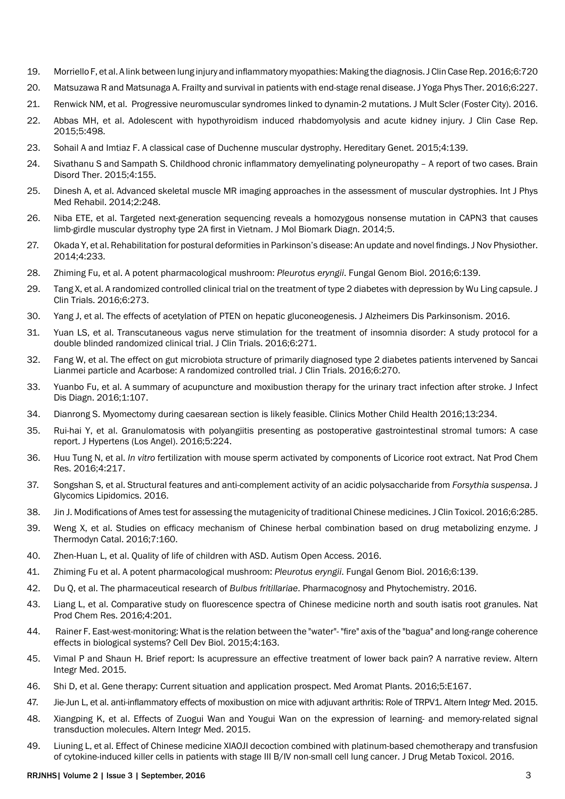- 19. [Morriello F, et al. A link between lung injury and inflammatory myopathies: Making the diagnosis.J Clin Case Rep. 2016;6:720](http://www.omicsgroup.org/journals/a-link-between-lung-injury-and-inflammatory-myopathies-making-thediagnosis-2165-7920-1000720.php?aid=70504)
- 20. [Matsuzawa R and Matsunaga A. Frailty and survival in patients with end-stage renal disease.J Yoga Phys Ther. 2016;6:227.](http://www.omicsonline.org/open-access/frailty-and-survival-in-patients-with-endstage-renal-disease-2157-7595-1000227.php?aid=69160)
- 21. [Renwick NM, et al. Progressive neuromuscular syndromes linked to dynamin-2 mutations.](http://www.omicsgroup.org/journals/progressive-neuromuscular-syndromes-linked-to-dynamin2-mutations-2376-0389-1000163.php?aid=68284) J Mult Scler (Foster City). 2016.
- 22. [Abbas MH, et al. Adolescent with hypothyroidism induced rhabdomyolysis and acute kidney injury.](http://www.omicsgroup.org/journals/adolescent-with-hypothyroidism-induced-rhabdomyolysis-and-acutekidney-injury-2165-7920-1000498.php?aid=53297) J Clin Case Rep. [2015;5:498.](http://www.omicsgroup.org/journals/adolescent-with-hypothyroidism-induced-rhabdomyolysis-and-acutekidney-injury-2165-7920-1000498.php?aid=53297)
- 23. [Sohail A and Imtiaz F. A classical case of Duchenne muscular dystrophy. Hereditary Genet. 2015;4:139.](http://www.omicsonline.org/open-access/a-classical-case-of-duchenne-muscular-dystrophy-2161-1041-4-1000139.php?aid=36387)
- 24. [Sivathanu S and Sampath S. Childhood chronic inflammatory demyelinating polyneuropathy A report of two cases.](http://www.omicsgroup.org/journals/childhood-chronic-inflammatory-demyelinating-polyneuropathy-a-report-of-two-cases-2168-975X.1000155.php?aid=36196) Brain [Disord Ther. 2015;4:155.](http://www.omicsgroup.org/journals/childhood-chronic-inflammatory-demyelinating-polyneuropathy-a-report-of-two-cases-2168-975X.1000155.php?aid=36196)
- 25. [Dinesh A, et al. Advanced skeletal muscle MR imaging approaches in the assessment of muscular dystrophies.](http://www.omicsonline.org/open-access/advanced-skeletal-muscle-mr-imaging-approaches-in-the-assessment-of-muscular-dystrophies-2329-9096.1000248.php?aid=36028) Int J Phys [Med Rehabil. 2014;2:248.](http://www.omicsonline.org/open-access/advanced-skeletal-muscle-mr-imaging-approaches-in-the-assessment-of-muscular-dystrophies-2329-9096.1000248.php?aid=36028)
- 26. [Niba ETE, et al. Targeted next-generation sequencing reveals a homozygous nonsense mutation in CAPN3 that causes](http://www.omicsonline.org/open-access/targeted-nextgeneration-sequencing-reveals-a-homozygous-nonsense-mutation-in-capn-2155-9929.1000194.php?aid=31950)  [limb-girdle muscular dystrophy type 2A first in Vietnam.](http://www.omicsonline.org/open-access/targeted-nextgeneration-sequencing-reveals-a-homozygous-nonsense-mutation-in-capn-2155-9929.1000194.php?aid=31950) J Mol Biomark Diagn. 2014;5.
- 27. [Okada Y, et al. Rehabilitation for postural deformities in Parkinson's disease: An update and novel findings.J Nov Physiother.](http://www.omicsgroup.org/journals/rehabilitation-for-postural-deformities-in-parkinsons-disease-an-update-and-novel-findings-2165-7025-233.php?aid=33636)  [2014;4:233.](http://www.omicsgroup.org/journals/rehabilitation-for-postural-deformities-in-parkinsons-disease-an-update-and-novel-findings-2165-7025-233.php?aid=33636)
- 28. [Zhiming Fu, et al. A potent pharmacological mushroom:](http://www.omicsgroup.org/journals/a-potent-pharmacological-mushroom-pleurotus-eryngii-2165-8056-1000139.php?aid=76165) *Pleurotus eryngii*. Fungal Genom Biol. 2016;6:139.
- 29. [Tang X, et al. A randomized controlled clinical trial on the treatment of type 2 diabetes with depression by Wu Ling capsule.](http://www.omicsgroup.org/journals/a-randomized-controlled-clinical-trial-on-the-treatment-of-type-2-diabeteswith-depression-by-wu-ling-capsule-2167-0870-1000273.php?aid=75784) J [Clin Trials. 2016;6:273.](http://www.omicsgroup.org/journals/a-randomized-controlled-clinical-trial-on-the-treatment-of-type-2-diabeteswith-depression-by-wu-ling-capsule-2167-0870-1000273.php?aid=75784)
- 30. [Yang J, et al. The effects of acetylation of PTEN on hepatic gluconeogenesis.](http://www.omicsonline.org/open-access/the-effects-of-acetylation-of-pten-on-hepatic-gluconeogenesis-2161-0460-1000243.php?aid=75777) J Alzheimers Dis Parkinsonism. 2016.
- 31. [Yuan LS, et al. Transcutaneous vagus nerve stimulation for the treatment of insomnia disorder: A study protocol for a](http://www.omicsgroup.org/journals/transcutaneous-vagus-nerve-stimulation-for-the-treatment-of-insomniadisorder-a-study-protocol-for-a-double-blinded-randomized-clin-2167-0870-1000271.php?aid=75596)  [double blinded randomized clinical trial.](http://www.omicsgroup.org/journals/transcutaneous-vagus-nerve-stimulation-for-the-treatment-of-insomniadisorder-a-study-protocol-for-a-double-blinded-randomized-clin-2167-0870-1000271.php?aid=75596) J Clin Trials. 2016;6:271.
- 32. [Fang W, et al. The effect on gut microbiota structure of primarily diagnosed type 2 diabetes patients intervened by Sancai](http://www.omicsgroup.org/journals/the-effect-on-gut-microbiota-structure-of-primarily-diagnosed-type-2-diabetespatients-intervened-by-sancai-lianmei-particle-and-ac-2167-0870-1000270.php?aid=75595)  [Lianmei particle and Acarbose: A randomized controlled trial.](http://www.omicsgroup.org/journals/the-effect-on-gut-microbiota-structure-of-primarily-diagnosed-type-2-diabetespatients-intervened-by-sancai-lianmei-particle-and-ac-2167-0870-1000270.php?aid=75595) J Clin Trials. 2016;6:270.
- 33. [Yuanbo Fu, et al. A summary of acupuncture and moxibustion therapy for the urinary tract infection after stroke.](http://www.omicsonline.org/open-access/a-summary-of-acupuncture-and-moxibustion-therapy-for-the-urinary-tractinfection-after-stroke-jidd-100107.php?aid=75526) J Infect [Dis Diagn. 2016;1:107.](http://www.omicsonline.org/open-access/a-summary-of-acupuncture-and-moxibustion-therapy-for-the-urinary-tractinfection-after-stroke-jidd-100107.php?aid=75526)
- 34. [Dianrong S. Myomectomy during caesarean section is likely feasible.](http://www.omicsonline.com/open-access/myomectomy-during-caesarean-section-is-likely-feasible-2090-7214-1000234.php?aid=74792) Clinics Mother Child Health 2016;13:234.
- 35. [Rui-hai Y, et al. Granulomatosis with polyangiitis presenting as postoperative gastrointestinal stromal tumors: A case](http://www.omicsgroup.org/journals/granulomatosis-with-polyangiitis-presenting-as-postoperative-gastrointestinal-stromal-tumors-a-case-report-2167-1095-1000224.php?aid=74396)  report. [J Hypertens \(Los Angel\). 2016;5:224.](http://www.omicsgroup.org/journals/granulomatosis-with-polyangiitis-presenting-as-postoperative-gastrointestinal-stromal-tumors-a-case-report-2167-1095-1000224.php?aid=74396)
- 36. Huu Tung N, et al. *In vitro* [fertilization with mouse sperm activated by components of Licorice root extract.](http://www.esciencecentral.org/journals/in-vitro-fertilization-with-mouse-sperm-activated-by-components-oflicorice-root-extract-2329-6836-1000217.php?aid=72649) Nat Prod Chem [Res. 2016;4:217.](http://www.esciencecentral.org/journals/in-vitro-fertilization-with-mouse-sperm-activated-by-components-oflicorice-root-extract-2329-6836-1000217.php?aid=72649)
- 37. [Songshan S, et al. Structural features and anti-complement activity of an acidic polysaccharide from](http://www.omicsonline.org/open-access/structural-features-and-anticomplement-activity-of-an-acidicpolysaccharide-from-forsythia-suspensa-2153-0637-1000138.php?aid=72644) *Forsythia suspensa*. J [Glycomics Lipidomics.](http://www.omicsonline.org/open-access/structural-features-and-anticomplement-activity-of-an-acidicpolysaccharide-from-forsythia-suspensa-2153-0637-1000138.php?aid=72644) 2016.
- 38. [Jin J. Modifications of Ames test for assessing the mutagenicity of traditional Chinese medicines.J Clin Toxicol. 2016;6:285.](http://www.omicsonline.org/open-access/modifications-of-ames-test-for-assessing-the-mutagenicity-of-traditionalchinese-medicines-2161-0495-1000285.php?aid=71593)
- 39. [Weng X, et al. Studies on efficacy mechanism of Chinese herbal combination based on drug metabolizing enzyme.](http://www.omicsonline.org/open-access/studies-on-efficacy-mechanism-of-chinese-herbal-combination-based-ondrug-metabolizing-enzyme-2157-7544-1000160.php?aid=71363) J [Thermodyn Catal. 2016;7:160.](http://www.omicsonline.org/open-access/studies-on-efficacy-mechanism-of-chinese-herbal-combination-based-ondrug-metabolizing-enzyme-2157-7544-1000160.php?aid=71363)
- 40. [Zhen-Huan L, et al. Quality of life of children with ASD.](http://www.omicsgroup.org/journals/quality-of-life-of-children-with-asd-2165-7890-1000183.php?aid=76204) Autism Open Access. 2016.
- 41. [Zhiming Fu et al. A potent pharmacological mushroom:](http://www.omicsgroup.org/journals/a-potent-pharmacological-mushroom-pleurotus-eryngii-2165-8056-1000139.php?aid=76165) *Pleurotus eryngii*. Fungal Genom Biol. 2016;6:139.
- 42. [Du Q, et al. The pharmaceutical research of](http://www.rroij.com/open-access/the-pharmaceutical-research-of-bulbus-fritillariae-.php?aid=66732) *Bulbus fritillariae*. Pharmacognosy and Phytochemistry. 2016.
- 43. [Liang L, et al. Comparative study on fluorescence spectra of Chinese medicine north and south isatis root granules.](http://www.esciencecentral.org/journals/comparative-study-on-fluorescence-spectra-of-chinese-medicine-northand-south-isatis-root-granules-2329-6836-1000201.php?aid=66718) Nat [Prod Chem Res. 2016;4:201.](http://www.esciencecentral.org/journals/comparative-study-on-fluorescence-spectra-of-chinese-medicine-northand-south-isatis-root-granules-2329-6836-1000201.php?aid=66718)
- 44. [Rainer F. East-west-monitoring: What is the relation between the "water"- "fire" axis of the "bagua" and long-range coherence](http://www.omicsgroup.org/journals/eastwestmonitoring-what-is-the-relation-between-the-water--fireaxis-of-the-bagua-and-longrange-coherence-effects-in-biologicalsyst-2168-9296-1000163.php?aid=65622)  [effects in biological systems?](http://www.omicsgroup.org/journals/eastwestmonitoring-what-is-the-relation-between-the-water--fireaxis-of-the-bagua-and-longrange-coherence-effects-in-biologicalsyst-2168-9296-1000163.php?aid=65622) Cell Dev Biol. 2015;4:163.
- 45. [Vimal P and Shaun H. Brief report: Is acupressure an effective treatment of lower back pain? A narrative review.](http://www.esciencecentral.org/journals/brief-report-is-acupressure-an-effective-treatment-of-lower-back-paina-narrative-review-2327-5162-1000206.php?aid=65160) Altern [Integr Med](http://www.esciencecentral.org/journals/brief-report-is-acupressure-an-effective-treatment-of-lower-back-paina-narrative-review-2327-5162-1000206.php?aid=65160). 2015.
- 46. [Shi D, et al. Gene therapy: Current situation and application prospect.](http://www.omicsgroup.org/journals/gene-therapy-current-situation-and-application-prospect-2167-0412-1000E167.php?aid=64919) Med Aromat Plants. 2016;5:E167.
- 47. [Jie-Jun L, et al. anti-inflammatory effects of moxibustion on mice with adjuvant arthritis: Role of TRPV1.](http://www.esciencecentral.org/journals/antiinflammatory-effects-of-moxibustion-on-mice-with-adjuvant-arthritisrole-of-trpv1-2327-5162-1000199.php?aid=64760) Altern Integr Med. 2015.
- 48. [Xiangping K, et al. Effects of Zuogui Wan and Yougui Wan on the expression of learning- and memory-related signal](http://www.esciencecentral.org/journals/effects-of-zuogui-wan-and-yougui-wan-on-the-expression-of-learning-andmemoryrelated-signal-transduction-molecules-2327-5162-1000196.php?aid=64752)  [transduction molecules.](http://www.esciencecentral.org/journals/effects-of-zuogui-wan-and-yougui-wan-on-the-expression-of-learning-andmemoryrelated-signal-transduction-molecules-2327-5162-1000196.php?aid=64752) Altern Integr Med. 2015.
- 49. [Liuning L, et al. Effect of Chinese medicine XIAOJI decoction combined with platinum-based chemotherapy and transfusion](http://www.omicsonline.org/open-access/effect-of-chinese-medicine-xiaoji-decoction-combined-with-platinumbased-chemotherapy-and-transfusion-of-cytokineinduced-killer-cel-2157-7609-S10-001.php?aid=64428)  [of cytokine-induced killer cells in patients with stage III B/IV non-small cell lung cancer.](http://www.omicsonline.org/open-access/effect-of-chinese-medicine-xiaoji-decoction-combined-with-platinumbased-chemotherapy-and-transfusion-of-cytokineinduced-killer-cel-2157-7609-S10-001.php?aid=64428) J Drug Metab Toxicol. 2016.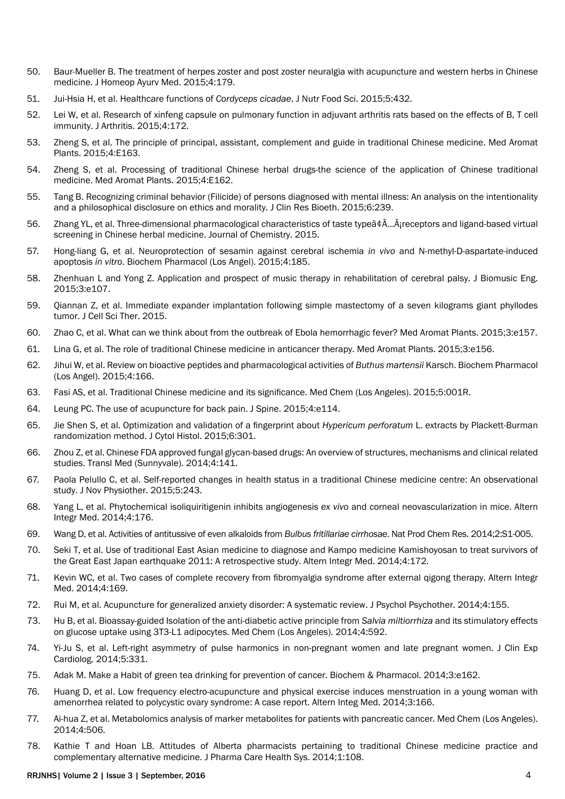- 50. Baur-Mueller B. The treatment of herpes zoster and post zoster neuralgia with acupuncture and western herbs in Chinese medicine. J Homeop Avury Med. 2015:4:179.
- 51. Jui-Hsia H, et al. Healthcare functions of Cordyceps cicadae. J Nutr Food Sci. 2015;5:432.
- Lei W, et al. Research of xinfeng capsule on pulmonary function in adjuvant arthritis rats based on the effects of B, T cell 52. immunity. J Arthritis. 2015:4:172.
- 53. Zheng S, et al. The principle of principal, assistant, complement and guide in traditional Chinese medicine. Med Aromat Plants. 2015;4:E163.
- 54. Zheng S, et al. Processing of traditional Chinese herbal drugs-the science of the application of Chinese traditional medicine. Med Aromat Plants. 2015;4:E162.
- 55. Tang B. Recognizing criminal behavior (Filicide) of persons diagnosed with mental illness: An analysis on the intentionality and a philosophical disclosure on ethics and morality. J Clin Res Bioeth. 2015;6:239.
- 56. Zhang YL, et al. Three-dimensional pharmacological characteristics of taste type  $\delta$ . Â<sub>i</sub>receptors and ligand-based virtual screening in Chinese herbal medicine. Journal of Chemistry. 2015.
- Hong-liang G, et al. Neuroprotection of sesamin against cerebral ischemia in vivo and N-methyl-D-aspartate-induced 57. apoptosis in vitro. Biochem Pharmacol (Los Angel). 2015;4:185.
- 58. Zhenhuan L and Yong Z. Application and prospect of music therapy in rehabilitation of cerebral palsy. J Biomusic Eng. 2015;3:e107.
- 59. Qiannan Z, et al. Immediate expander implantation following simple mastectomy of a seven kilograms giant phyllodes tumor. J Cell Sci Ther. 2015.
- 60. Zhao C, et al. What can we think about from the outbreak of Ebola hemorrhagic fever? Med Aromat Plants. 2015;3:e157.
- Lina G. et al. The role of traditional Chinese medicine in anticancer therapy. Med Aromat Plants, 2015:3:e156. 61.
- 62. Jihui W, et al. Review on bioactive peptides and pharmacological activities of Buthus martensii Karsch. Biochem Pharmacol (Los Angel). 2015;4:166.
- 63. Fasi AS, et al. Traditional Chinese medicine and its significance. Med Chem (Los Angeles). 2015;5:001R.
- 64. Leung PC. The use of acupuncture for back pain. J Spine. 2015;4:e114.
- 65. Jie Shen S, et al. Optimization and validation of a fingerprint about Hypericum perforatum L. extracts by Plackett-Burman randomization method. J Cytol Histol. 2015;6:301.
- 66. Zhou Z, et al. Chinese FDA approved fungal glycan-based drugs: An overview of structures, mechanisms and clinical related studies. Transl Med (Sunnyvale), 2014;4:141.
- 67. Paola Pelullo C, et al. Self-reported changes in health status in a traditional Chinese medicine centre: An observational study. J Nov Physiother. 2015;5:243.
- 68. Yang L, et al. Phytochemical isoliquiritigenin inhibits angiogenesis ex vivo and corneal neovascularization in mice. Altern Integr Med. 2014;4:176.
- 69. Wang D, et al. Activities of antitussive of even alkaloids from Bulbus fritillariae cirrhosae. Nat Prod Chem Res. 2014;2:S1-005.
- 70 Seki T, et al. Use of traditional East Asian medicine to diagnose and Kampo medicine Kamishoyosan to treat survivors of the Great East Japan earthquake 2011: A retrospective study. Altern Integr Med. 2014;4:172.
- Kevin WC, et al. Two cases of complete recovery from fibromyalgia syndrome after external gigong therapy. Altern Integr 71. Med. 2014:4:169.
- Rui M. et al. Acupuncture for generalized anxiety disorder: A systematic review. J Psychol Psychother. 2014;4:155.  $72<sub>2</sub>$
- 73. Hu B, et al. Bioassay-guided Isolation of the anti-diabetic active principle from Salvia miltiorrhiza and its stimulatory effects on glucose uptake using 3T3-L1 adipocytes. Med Chem (Los Angeles). 2014;4:592.
- 74. Yi-Ju S, et al. Left-right asymmetry of pulse harmonics in non-pregnant women and late pregnant women. J Clin Exp Cardiolog. 2014;5:331.
- 75. Adak M. Make a Habit of green tea drinking for prevention of cancer. Biochem & Pharmacol. 2014;3:e162.
- 76. Huang D, et al. Low frequency electro-acupuncture and physical exercise induces menstruation in a young woman with amenorrhea related to polycystic ovary syndrome: A case report. Altern Integ Med. 2014;3:166.
- Ai-hua Z, et al. Metabolomics analysis of marker metabolites for patients with pancreatic cancer. Med Chem (Los Angeles). 77. 2014;4:506.
- 78. Kathie T and Hoan LB. Attitudes of Alberta pharmacists pertaining to traditional Chinese medicine practice and complementary alternative medicine. J Pharma Care Health Sys. 2014;1:108.

#### RRJNHS| Volume 2 | Issue 3 | September, 2016